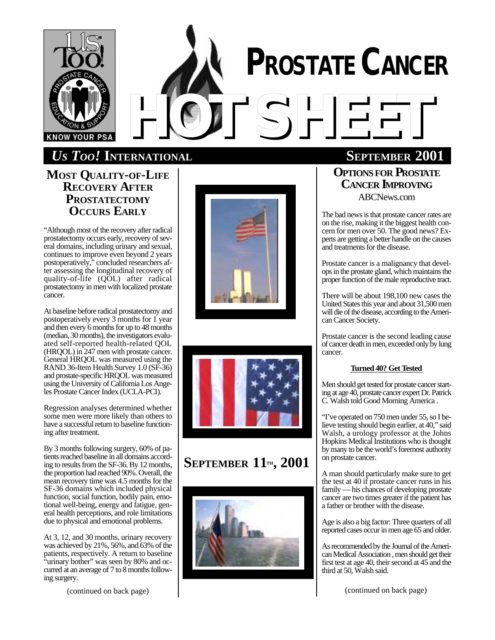

# **PROSTATE CANCER** *HOTSHEET*

# *US TOO!* **INTERNATIONAL SEPTEMBER 2001**

**MOST QUALITY-OF-LIFE RECOVERY AFTER PROSTATECTOMY OCCURS EARLY**

"Although most of the recovery after radical prostatectomy occurs early, recovery of several domains, including urinary and sexual, continues to improve even beyond 2 years postoperatively," concluded researchers after assessing the longitudinal recovery of quality-of-life (QOL) after radical prostatectomy in men with localized prostate cancer.

At baseline before radical prostatectomy and postoperatively every 3 months for 1 year and then every 6 months for up to 48 months (median, 30 months), the investigators evaluated self-reported health-related QOL (HRQOL) in 247 men with prostate cancer. General HRQOL was measured using the RAND 36-Item Health Survey 1.0 (SF-36) and prostate-specific HRQOL was measured using the University of California Los Angeles Prostate Cancer Index (UCLA-PCI).

Regression analyses determined whether some men were more likely than others to have a successful return to baseline functioning after treatment.

By 3 months following surgery, 60% of patients reached baseline in all domains according to results from the SF-36. By 12 months, the proportion had reached 90%. Overall, the mean recovery time was 4.5 months for the SF-36 domains which included physical function, social function, bodily pain, emotional well-being, energy and fatigue, general health perceptions, and role limitations due to physical and emotional problems.

At 3, 12, and 30 months, urinary recovery was achieved by 21%, 56%, and 63% of the patients, respectively. A return to baseline "urinary bother" was seen by 80% and occurred at an average of 7 to 8 months following surgery.

(continued on back page)





# **SEPTEMBER 11TH, 2001**



**OPTIONSFOR PROSTATE CANCER IMPROVING** ABCNews.com

The bad news is that prostate cancer rates are on the rise, making it the biggest health concern for men over 50. The good news? Experts are getting a better handle on the causes and treatments for the disease.

Prostate cancer is a malignancy that develops in the prostate gland, which maintains the proper function of the male reproductive tract.

There will be about 198,100 new cases the United States this year and about 31,500 men will die of the disease, according to the American Cancer Society.

Prostate cancer is the second leading cause of cancer death in men, exceeded only by lung cancer.

#### **Turned40? Get Tested**

Men should get tested for prostate cancer starting at age 40, prostate cancer expert Dr. Patrick C. Walsh told Good Morning America .

"I've operated on 750 men under 55, so I believe testing should begin earlier, at 40," said Walsh, a urology professor at the Johns Hopkins Medical Institutions who is thought by many to be the world's foremost authority on prostate cancer.

A man should particularly make sure to get the test at 40 if prostate cancer runs in his family — his chances of developing prostate cancer are two times greater if the patient has a father or brother with the disease.

Age is also a big factor: Three quarters of all reported cases occur in men age 65 and older.

As recommended by the Journal of the American Medical Association , men should get their first test at age 40, their second at 45 and the third at 50, Walsh said.

(continued on back page)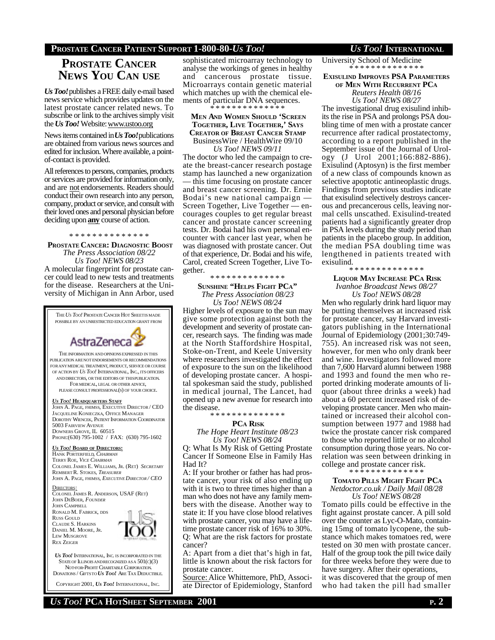#### **PROSTATE CANCER PATIENT SUPPORT 1-800-80-***US TOO! US TOO!* **INTERNATIONAL**

# **PROSTATE CANCER NEWS YOU CAN USE**

*Us Too!*publishes a FREE daily e-mail based news service which provides updates on the latest prostate cancer related news. To subscribe or link to the archives simply visit the *Us Too!* Website: www.ustoo.org

News items contained in *Us Too!*publications are obtained from various news sources and edited for inclusion. Where available, a pointof-contact is provided.

All references to persons, companies, products or services are provided for information only, and are not endorsements. Readers should conduct their own research into any person, company, product or service, and consult with their loved ones and personal physician before deciding upon **any** course of action.

#### \* \* \* \* \* \* \* \* \* \* \* \* \* \*

**PROSTATE CANCER: DIAGNOSTIC BOOST** *The Press Association 08/22*

*Us Too! NEWS 08/23* A molecular fingerprint for prostate cancer could lead to new tests and treatments for the disease. Researchers at the University of Michigan in Ann Arbor, used



*US TOO!* INTERNATIONAL, INC. IS INCORPORATED IN THE STATE OF ILLINOIS AND RECOGNIZED AS A  $501(c)(3)$  NOT-FOR-PROFIT CHARITABLE CORPORATION. DONATIONS / GIFTSTO *US TOO!* ARE TAX DEDUCTIBLE.

COPYRIGHT 2001, *US TOO!* INTERNATIONAL, INC.

sophisticated microarray technology to analyse the workings of genes in healthy and cancerous prostate tissue. Microarrays contain genetic material which matches up with the chemical elements of particular DNA sequences. \* \* \* \* \* \* \* \* \* \* \* \* \* \*

#### **MEN AND WOMEN SHOULD 'SCREEN TOGETHER, LIVE TOGETHER,' SAYS CREATOR OF BREAST CANCER STAMP** BusinessWire / HealthWire 09/10 *Us Too! NEWS 09/11*

The doctor who led the campaign to create the breast-cancer research postage stamp has launched a new organization — this time focusing on prostate cancer and breast cancer screening. Dr. Ernie Bodai's new national campaign — Screen Together, Live Together — encourages couples to get regular breast cancer and prostate cancer screening tests. Dr. Bodai had his own personal encounter with cancer last year, when he was diagnosed with prostate cancer. Out of that experience, Dr. Bodai and his wife, Carol, created Screen Together, Live Together.

#### \* \* \* \* \* \* \* \* \* \* \* \* \* \*

#### **SUNSHINE "HELPS FIGHT PCA"** *The Press Association 08/23 Us Too! NEWS 08/24*

Higher levels of exposure to the sun may give some protection against both the development and severity of prostate cancer, research says. The finding was made at the North Staffordshire Hospital, Stoke-on-Trent, and Keele University where researchers investigated the effect of exposure to the sun on the likelihood of developing prostate cancer. A hospital spokesman said the study, published in medical journal, The Lancet, had opened up a new avenue for research into the disease.

#### \* \* \* \* \* \* \* \* \* \* \* \* \*

#### **PCA RISK**

*The Hope Heart Institute 08/23 Us Too! NEWS 08/24*

Q: What Is My Risk of Getting Prostate Cancer If Someone Else in Family Has Had It?

A: If your brother or father has had prostate cancer, your risk of also ending up with it is two to three times higher than a man who does not have any family members with the disease. Another way to state it: If you have close blood relatives with prostate cancer, you may have a lifetime prostate cancer risk of 16% to 30%. Q: What are the risk factors for prostate cancer?

A: Apart from a diet that's high in fat, little is known about the risk factors for prostate cancer.

Source: Alice Whittemore, PhD, Associate Director of Epidemiology, Stanford

University School of Medicine \* \* \* \* \* \* \* \* \* \* \* \* \* \*

#### **EXISULIND IMPROVES PSA PARAMETERS OF MEN WITH RECURRENT PC<sup>A</sup>**

*Reuters Health 08/16 Us Too! NEWS 08/27*

The investigational drug exisulind inhibits the rise in PSA and prolongs PSA doubling time of men with a prostate cancer recurrence after radical prostatectomy, according to a report published in the September issue of the Journal of Urology (J Urol 2001;166:882-886). Exisulind (Aptosyn) is the first member of a new class of compounds known as selective apoptotic antineoplastic drugs. Findings from previous studies indicate that exisulind selectively destroys cancerous and precancerous cells, leaving normal cells unscathed. Exisulind-treated patients had a significantly greater drop in PSA levels during the study period than patients in the placebo group. In addition, the median PSA doubling time was lengthened in patients treated with exisulind.

\* \* \* \* \* \* \* \* \* \* \* \* \* \*

#### **LIQUOR MAY INCREASE PCA RISK** *Ivanhoe Broadcast News 08/27 Us Too! NEWS 08/28*

Men who regularly drink hard liquor may be putting themselves at increased risk for prostate cancer, say Harvard investigators publishing in the International Journal of Epidemiology (2001;30:749- 755). An increased risk was not seen, however, for men who only drank beer and wine. Investigators followed more than 7,600 Harvard alumni between 1988 and 1993 and found the men who reported drinking moderate amounts of liquor (about three drinks a week) had about a 60 percent increased risk of developing prostate cancer. Men who maintained or increased their alcohol consumption between 1977 and 1988 had twice the prostate cancer risk compared to those who reported little or no alcohol consumption during those years. No correlation was seen between drinking in college and prostate cancer risk.

#### \* \* \* \* \* \* \* \* \* \* \* \* \* \*

 **TOMATO PILLS MIGHT FIGHT PC<sup>A</sup>** *Netdoctor.co.uk / Daily Mail 08/28*

*Us Too! NEWS 08/28* Tomato pills could be effective in the fight against prostate cancer. A pill sold over the counter as Lyc-O-Mato, containing 15mg of tomato lycopene, the substance which makes tomatoes red, were tested on 30 men with prostate cancer. Half of the group took the pill twice daily

for three weeks before they were due to have surgery. After their operations, it was discovered that the group of men who had taken the pill had smaller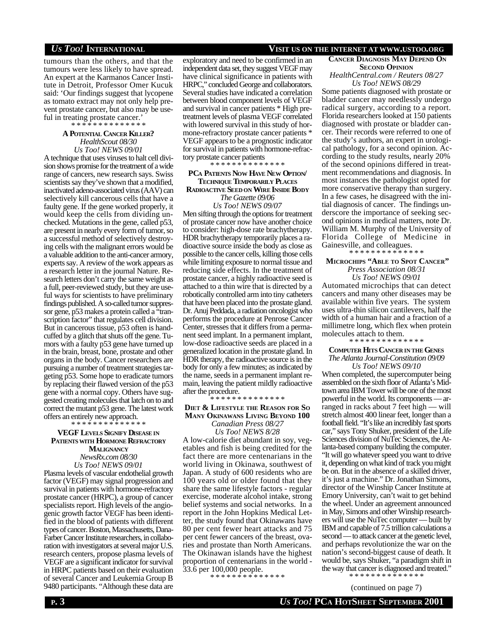#### *US TOO!* **INTERNATIONAL VISIT US ON THE INTERNET AT WWW.USTOO.ORG**

tumours than the others, and that the tumours were less likely to have spread. An expert at the Karmanos Cancer Institute in Detroit, Professor Omer Kucuk said: 'Our findings suggest that lycopene as tomato extract may not only help prevent prostate cancer, but also may be useful in treating prostate cancer.'

\* \* \* \* \* \* \* \* \* \* \* \* \* \*

#### **A POTENTIAL CANCER KILLER?** *HealthScout 08/30*

*Us Too! NEWS 09/01* A technique that uses viruses to halt cell division shows promise for the treatment of a wide range of cancers, new research says. Swiss scientists say they've shown that a modified, inactivated adeno-associated virus (AAV) can selectively kill cancerous cells that have a faulty gene. If the gene worked properly, it would keep the cells from dividing unchecked. Mutations in the gene, called p53, are present in nearly every form of tumor, so a successful method of selectively destroying cells with the malignant errors would be a valuable addition to the anti-cancer armory, experts say. A review of the work appears as a research letter in the journal Nature. Research letters don't carry the same weight as a full, peer-reviewed study, but they are useful ways for scientists to have preliminary findings published. A so-called tumor suppressor gene, p53 makes a protein called a "transcription factor" that regulates cell division. But in cancerous tissue, p53 often is handcuffed by a glitch that shuts off the gene. Tumors with a faulty p53 gene have turned up in the brain, breast, bone, prostate and other organs in the body. Cancer researchers are pursuing a number of treatment strategies targeting p53. Some hope to eradicate tumors by replacing their flawed version of the p53 gene with a normal copy. Others have suggested creating molecules that latch on to and correct the mutant p53 gene. The latest work offers an entirely new approach.

#### \* \* \* \* \* \* \* \* \* \* \* \* \* \* **VEGF LEVELS SIGNIFY DISEASE IN PATIENTS WITH HORMONE REFRACTORY**

**MALIGNANCY** *NewsRx.com 08/30 Us Too! NEWS 09/01*

Plasma levels of vascular endothelial growth factor (VEGF) may signal progression and survival in patients with hormone-refractory prostate cancer (HRPC), a group of cancer specialists report. High levels of the angiogenic growth factor VEGF has been identified in the blood of patients with different types of cancer. Boston, Massachusetts, Dana-Farber Cancer Institute researchers, in collaboration with investigators at several major U.S. research centers, propose plasma levels of VEGF are a significant indicator for survival in HRPC patients based on their evaluation of several Cancer and Leukemia Group B 9480 participants. "Although these data are

# exploratory and need to be confirmed in an independent data set, they suggest VEGF may

have clinical significance in patients with HRPC," concluded George and collaborators. Several studies have indicated a correlation between blood component levels of VEGF and survival in cancer patients \* High pretreatment levels of plasma VEGF correlated with lowered survival in this study of hormone-refractory prostate cancer patients \* VEGF appears to be a prognostic indicator for survival in patients with hormone-refractory prostate cancer patients

\* \* \* \* \* \* \* \* \* \* \* \* \* \*

#### **PCA PATIENTS NOW HAVE NEW OPTION/ TECHNIQUE TEMPORARILY PLACES RADIOACTIVE SEED ON WIRE INSIDE BODY**

*The Gazette 09/06 Us Too! NEWS 09/07*

Men sifting through the options for treatment of prostate cancer now have another choice to consider: high-dose rate brachytherapy. HDR brachytherapy temporarily places a radioactive source inside the body as close as possible to the cancer cells, killing those cells while limiting exposure to normal tissue and reducing side effects. In the treatment of prostate cancer, a highly radioactive seed is attached to a thin wire that is directed by a robotically controlled arm into tiny catheters that have been placed into the prostate gland. Dr. Anuj Peddada, a radiation oncologist who performs the procedure at Penrose Cancer Center, stresses that it differs from a permanent seed implant. In a permanent implant, low-dose radioactive seeds are placed in a generalized location in the prostate gland. In HDR therapy, the radioactive source is in the body for only a few minutes; as indicated by the name, seeds in a permanent implant remain, leaving the patient mildly radioactive after the procedure.

\* \* \* \* \* \* \* \* \* \* \* \* \* \*

#### **DIET & LIFESTYLE THE REASON FOR S<sup>O</sup> MANY OKINAWANS LIVING BEYOND 100** *Canadian Press 08/27*

*Us Too! NEWS 8/28*

A low-calorie diet abundant in soy, vegetables and fish is being credited for the fact there are more centenarians in the world living in Okinawa, southwest of Japan. A study of 600 residents who are 100 years old or older found that they share the same lifestyle factors - regular exercise, moderate alcohol intake, strong belief systems and social networks. In a report in the John Hopkins Medical Letter, the study found that Okinawans have 80 per cent fewer heart attacks and 75 per cent fewer cancers of the breast, ovaries and prostate than North Americans. The Okinawan islands have the highest proportion of centenarians in the world - 33.6 per 100,000 people.

\* \* \* \* \* \* \* \* \* \* \* \* \* \*

## **CANCER DIAGNOSIS MAY DEPEND O<sup>N</sup> SECOND OPINION**

*HealthCentral.com / Reuters 08/27 Us Too! NEWS 08/29*

Some patients diagnosed with prostate or bladder cancer may needlessly undergo radical surgery, according to a report. Florida researchers looked at 150 patients diagnosed with prostate or bladder cancer. Their records were referred to one of the study's authors, an expert in urological pathology, for a second opinion. According to the study results, nearly 20% of the second opinions differed in treatment recommendations and diagnosis. In most instances the pathologist opted for more conservative therapy than surgery. In a few cases, he disagreed with the initial diagnosis of cancer. The findings underscore the importance of seeking second opinions in medical matters, note Dr. William M. Murphy of the University of Florida College of Medicine in Gainesville, and colleagues.

#### \* \* \* \* \* \* \* \* \* \* \* \* \*  **MICROCHIPS "ABLE TO SPOT CANCER"**

*Press Association 08/31 Us Too! NEWS 09/01*

Automated microchips that can detect cancers and many other diseases may be available within five years. The system uses ultra-thin silicon cantilevers, half the width of a human hair and a fraction of a millimetre long, which flex when protein molecules attach to them.

\* \* \* \* \* \* \* \* \* \* \* \* \* \*

#### **COMPUTER HITS CANCER IN THE GENES** *The Atlanta Journal-Constitution 09/09 Us Too! NEWS 09/10*

When completed, the supercomputer being assembled on the sixth floor of Atlanta's Midtown area IBM Tower will be one of the most powerful in the world. Its components — arranged in racks about 7 feet high — will stretch almost 400 linear feet, longer than a football field. "It's like an incredibly fast sports car," says Tony Shuker, president of the Life Sciences division of NuTec Sciences, the Atlanta-based company building the computer. "It will go whatever speed you want to drive it, depending on what kind of track you might be on. But in the absence of a skilled driver, it's just a machine." Dr. Jonathan Simons, director of the Winship Cancer Institute at Emory University, can't wait to get behind the wheel. Under an agreement announced in May, Simons and other Winship researchers will use the NuTec computer — built by IBM and capable of 7.5 trillion calculations a second — to attack cancer at the genetic level, and perhaps revolutionize the war on the nation's second-biggest cause of death. It would be, says Shuker, "a paradigm shift in the way that cancer is diagnosed and treated."

\* \* \* \* \* \* \* \* \* \* \* \* \* (continued on page 7)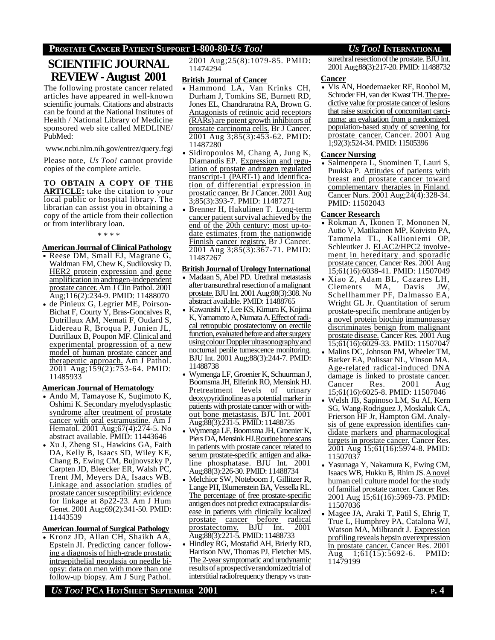#### **PROSTATE CANCER PATIENT SUPPORT 1-800-80-***US TOO! US TOO!* **INTERNATIONAL**

# **SCIENTIFIC JOURNAL REVIEW - August 2001**

The following prostate cancer related articles have appeared in well-known scientific journals. Citations and abstracts can be found at the National Institutes of Health / National Library of Medicine sponsored web site called MEDLINE/ PubMed:

www.ncbi.nlm.nih.gov/entrez/query.fcgi

Please note, *Us Too!* cannot provide copies of the complete article.

**TO OBTAIN A COPY OF THE ARTICLE:** take the citation to your local public or hospital library. The librarian can assist you in obtaining a copy of the article from their collection or from interlibrary loan.

\* \* \* \*

#### **AmericanJournal of ClinicalPathology**

- Reese DM, Small EJ, Magrane G, Waldman FM, Chew K, Sudilovsky D. HER2 protein expression and gene amplification in androgen-independent prostate cancer.Am J Clin Pathol. 2001 Aug;116(2):234-9. PMID: 11488070
- de Pinieux G, Legrier ME, Poirson-Bichat F, Courty Y, Bras-Goncalves R, Dutrillaux AM, Nemati F, Oudard S, Lidereau R, Broqua P, Junien JL, Dutrillaux B, Poupon MF. Clinical and experimental progression of a new model of human prostate cancer and therapeutic approach. Am J Pathol. 2001 Aug;159(2):753-64. PMID: 11485933

#### **American Journal of Hematology**

- Ando M, Tamayose K, Sugimoto K, Oshimi K. Secondary myelodysplastic syndrome after treatment of prostate cancer with oral estramustine. Am J Hematol. 2001 Aug;67(4):274-5. No abstract available. PMID: 11443646
- Xu J, Zheng SL, Hawkins GA, Faith DA, Kelly B, Isaacs SD, Wiley KE, Chang B, Ewing CM, Bujnovszky P, Carpten JD, Bleecker ER, Walsh PC, Trent JM, Meyers DA, Isaacs WB. Linkage and association studies of prostate cancer susceptibility: evidence for linkage at 8p22-23. Am J Hum Genet. 2001 Aug;69(2):341-50. PMID: 11443539

#### **AmericanJournal ofSurgical Pathology**

• Kronz JD, Allan CH, Shaikh AA, Epstein JI. Predicting cancer following a diagnosis of high-grade prostatic intraepithelial neoplasia on needle biopsy: data on men with more than one follow-up biopsy. Am J Surg Pathol.

2001 Aug;25(8):1079-85. PMID: 11474294

#### **British Journal of Cancer**

- Hammond LA, Van Krinks CH, Durham J, Tomkins SE, Burnett RD, Jones EL, Chandraratna RA, Brown G. Antagonists of retinoic acid receptors (RARs) are potent growth inhibitors of prostate carcinoma cells. Br J Cancer. 2001 Aug 3;85(3):453-62. PMID: 11487280
- Sidiropoulos M, Chang A, Jung K, Diamandis EP. Expression and regulation of prostate androgen regulated transcript-1 (PART-1) and identification of differential expression in prostatic cancer. Br J Cancer. 2001 Aug 3;85(3):393-7. PMID: 11487271
- Brenner H, Hakulinen T. Long-term cancer patient survival achieved by the end of the 20th century: most up-todate estimates from the nationwide Finnish cancer registry. Br J Cancer. 2001 Aug 3;85(3):367-71. PMID: 11487267

#### **BritishJournal ofUrology International**

- Madaan S, Abel PD. Urethral metastasis after transurethral resection of a malignant prostate. BJU Int. 2001 Aug;88(3):308. No abstract available. PMID: 11488765
- Kawanishi Y, Lee KS, Kimura K, Kojima K, Yamamoto A, Numata A. Effect of radical retropubic prostatectomy on erectile function, evaluated before and after surgery using colour Doppler ultrasonography and nocturnal penile tumescence monitoring. BJU Int. 2001 Aug;88(3):244-7. PMID: 11488738
- Wymenga LF, Groenier K, Schuurman J, Boomsma JH, Elferink RO, Mensink HJ. Pretreatment levels of urinary deoxypyridinoline as a potential marker in patients with prostate cancer with or without bone metastasis. BJU Int. 2001 Aug;88(3):231-5. PMID: 11488735
- Wymenga LF, Boomsma JH, Groenier K, Piers DA, Mensink HJ. Routine bone scans in patients with prostate cancer related to serum prostate-specific antigen and alkaline phosphatase. BJU Int. 2001 Aug;88(3):226-30. PMID: 11488734
- Melchior SW, Noteboom J, Gillitzer R, Lange PH, Blumenstein BA, Vessella RL. The percentage of free prostate-specific antigendoes not predict extracapsular disease in patients with clinically localized prostate cancer before radical<br>prostatectomy. BJU Int. 2001 prostatectomy. BJU Int. 2001 Aug;88(3):221-5. PMID: 11488733
- Hindley RG, Mostafid AH, Brierly RD, Harrison NW, Thomas PJ, Fletcher MS. The 2-year symptomatic and urodynamic results of a prospective randomized trial of interstitial radiofrequency therapy vs tran-

surethral resection of the prostate. BJU Int. 2001 Aug;88(3):217-20. PMID: 11488732

#### **Cancer**

• Vis AN, Hoedemaeker RF, Roobol M, Schroder FH, van der Kwast TH. The predictive value for prostate cancer of lesions that raise suspicion of concomitant carcinoma: an evaluation from a randomized, population-based study of screening for prostate cancer. Cancer. 2001 Aug 1;92(3):524-34. PMID: 11505396

#### **Cancer Nursing**

• Salmenpera L, Suominen T, Lauri S, Puukka P. Attitudes of patients with breast and prostate cancer toward complementary therapies in Finland. Cancer Nurs. 2001 Aug;24(4):328-34. PMID: 11502043

#### **Cancer Research**

- Rokman A, Ikonen T, Mononen N, Autio V, Matikainen MP, Koivisto PA, Tammela TL, Kallioniemi OP, Schleutker J. ELAC2/HPC2 involvement in hereditary and sporadic prostate cancer. Cancer Res. 2001 Aug 15;61(16):6038-41. PMID: 11507049
- Xiao Z, Adam BL, Cazares LH, Clements Schellhammer PF, Dalmasso EA, Wright GL Jr. Quantitation of serum prostate-specific membrane antigen by a novel protein biochip immunoassay discriminates benign from malignant prostate disease. Cancer Res. 2001 Aug 15;61(16):6029-33. PMID: 11507047
- Malins DC, Johnson PM, Wheeler TM, Barker EA, Polissar NL, Vinson MA. Age-related radical-induced DNA damage is linked to prostate cancer. Cancer Res. 2001 Aug 15;61(16):6025-8. PMID: 11507046
- Welsh JB, Sapinoso LM, Su AI, Kern SG, Wang-Rodriguez J, Moskaluk CA, Frierson HF Jr, Hampton GM. Analysis of gene expression identifies candidate markers and pharmacological targets in prostate cancer. Cancer Res. 2001 Aug 15;61(16):5974-8. PMID: 11507037
- Yasunaga Y, Nakamura K, Ewing CM, Isaacs WB, Hukku B, Rhim JS. Anovel human cell culture model for the study of familial prostate cancer. Cancer Res. 2001 Aug 15;61(16):5969-73. PMID: 11507036
- Magee JA, Araki T, Patil S, Ehrig T, True L, Humphrey PA, Catalona WJ, Watson MA, Milbrandt J. Expression profiling reveals hepsin overexpression in prostate cancer. Cancer Res. 2001 Aug 1;61(15):5692-6. PMID: 11479199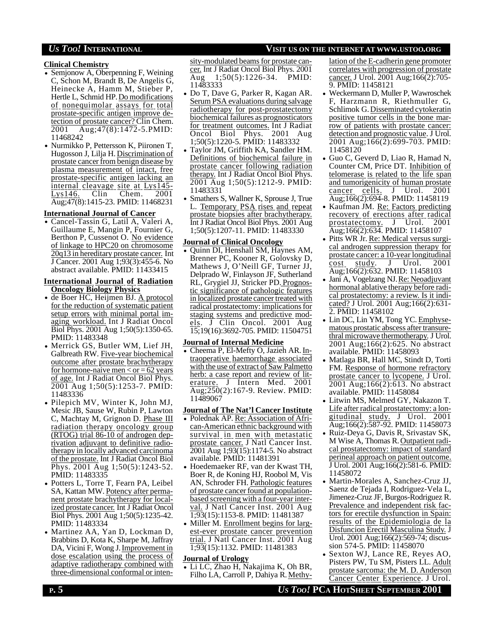#### **Clinical Chemistry**

- Semjonow A, Oberpenning F, Weining C, Schon M, Brandt B, De Angelis G, Heinecke A, Hamm M, Stieber P, Hertle L, Schmid HP. Do modifications of nonequimolar assays for total prostate-specific antigen improve detection of prostate cancer? Clin Chem. 2001 Aug;47(8):1472-5.PMID: 11468242
- Nurmikko P, Pettersson K, Piironen T, Hugosson J, Lilja H. Discrimination of prostate cancer from benign disease by plasma measurement of intact, free prostate-specific antigen lacking an internal cleavage site at Lys145- Lys146. Clin Chem. 2001 Aug;47(8):1415-23. PMID: 11468231

#### **International Journal of Cancer**

• Cancel-Tassin G, Latil A, Valeri A, Guillaume E, Mangin P, Fournier G, Berthon P, Cussenot O. No evidence of linkage to HPC20 on chromosome 20q13 in hereditary prostate cancer. Int J Cancer. 2001 Aug 1;93(3):455-6. No abstract available. PMID: 11433415

#### **International Journal of Radiation Oncology Biology Physics**

- de Boer HC, Heijmen BJ. A protocol for the reduction of systematic patient setup errors with minimal portal imaging workload. Int J Radiat Oncol Biol Phys. 2001 Aug 1;50(5):1350-65. PMID: 11483348
- Merrick GS, Butler WM, Lief JH, Galbreath RW. Five-year biochemical outcome after prostate brachytherapy for hormone-naive men  $<$  or  $=$  62 years of age. Int J Radiat Oncol Biol Phys. 2001 Aug 1;50(5):1253-7. PMID: 11483336
- Pilepich MV, Winter K, John MJ, Mesic JB, Sause W, Rubin P, Lawton C, Machtay M, Grignon D. Phase III radiation therapy oncology group (RTOG) trial 86-10 of androgen deprivation adjuvant to definitive radiotherapy in locally advanced carcinoma of the prostate. Int J Radiat Oncol Biol Phys. 2001 Aug 1;50(5):1243-52. PMID: 11483335
- Potters L, Torre T, Fearn PA, Leibel SA, Kattan MW. Potency after permanent prostate brachytherapy for localized prostate cancer. Int J Radiat Oncol Biol Phys. 2001 Aug 1;50(5):1235-42. PMID: 11483334
- Martinez AA, Yan D, Lockman D, Brabbins D, Kota K, Sharpe M, Jaffray DA, Vicini F, Wong J. Improvement in dose escalation using the process of adaptive radiotherapy combined with three-dimensional conformal or inten-

sity-modulated beams for prostate cancer. Int J Radiat Oncol Biol Phys. 2001 Aug 1;50(5):1226-34. PMID: 11483333

- Do T, Dave G, Parker R, Kagan AR. Serum PSA evaluations during salvage radiotherapy for post-prostatectomy biochemical failures as prognosticators for treatment outcomes. Int J Radiat Oncol Biol Phys. 2001 Aug 1;50(5):1220-5. PMID: 11483332
- Taylor JM, Griffith KA, Sandler HM. Definitions of biochemical failure in prostate cancer following radiation therapy. Int J Radiat Oncol Biol Phys. 2001 Aug 1;50(5):1212-9. PMID: 11483331
- Smathers S, Wallner K, Sprouse J, True L. Temporary PSA rises and repeat prostate biopsies after brachytherapy. Int J Radiat Oncol Biol Phys. 2001 Aug 1;50(5):1207-11. PMID: 11483330

#### **Journal of Clinical Oncology**

• Quinn DI, Henshall SM, Haynes AM, Brenner PC, Kooner R, Golovsky D, Mathews J, O'Neill GF, Turner JJ, Delprado W, Finlayson JF, Sutherland RL, Grygiel JJ, Stricker PD.Prognostic significance of pathologic features in localized prostate cancer treated with radical prostatectomy: implications for staging systems and predictive models. J Clin Oncol. 2001 Aug 15;19(16):3692-705. PMID: 11504751

#### **Journal of Internal Medicine**

• Cheema P, El-Mefty O, Jazieh AR. Intraoperative haemorrhage associated with the use of extract of Saw Palmetto herb: a case report and review of literature. J Intern Med. 2001 Aug;250(2):167-9. Review. PMID: 11489067

## **Journal of The Nat'l Cancer Institute**

- Polednak AP. Re: Association of African-American ethnic background with survival in men with metastatic prostate cancer. J Natl Cancer Inst. 2001 Aug 1;93(15):1174-5. No abstract available. PMID: 11481391
- Hoedemaeker RF, van der Kwast TH, Boer R, de Koning HJ, Roobol M, Vis AN, Schroder FH. Pathologic features of prostate cancer found at populationbased screening with a four-year interval. J Natl Cancer Inst. 2001 Aug 1;93(15):1153-8. PMID: 11481387
- Miller M. Enrollment begins for largest-ever prostate cancer prevention trial. J Natl Cancer Inst. 2001 Aug 1;93(15):1132. PMID: 11481383

#### **Journal of Urology**

• Li LC, Zhao H, Nakajima K, Oh BR, Filho LA, Carroll P, Dahiya R. Methylation of the E-cadherin gene promoter correlates with progression of prostate cancer. J Urol. 2001 Aug;166(2):705- 9. PMID: 11458121

- Weckermann D, Muller P, Wawroschek F, Harzmann R, Riethmuller G, Schlimok G. Disseminated cytokeratin positive tumor cells in the bone marrow of patients with prostate cancer: detection and prognostic value. J Urol. 2001 Aug;166(2):699-703. PMID: 11458120
- Guo C, Geverd D, Liao R, Hamad N, Counter CM, Price DT. Inhibition of telomerase is related to the life span and tumorigenicity of human prostate<br>cancer cells. J Urol. 2001  $cancer$  cells.  $J$  Urol. Aug;166(2):694-8. PMID: 11458119
- Kaufman JM. Re: Factors predicting recovery of erections after radical prostatectomy. J Urol. 2001 Aug;166(2):634. PMID: 11458107
- Pitts WR Jr. Re: Medical versus surgical androgen suppression therapy for prostate cancer: a 10-year longitudinal cost study. J Urol. 2001 Aug;166(2):632. PMID: 11458103
- Jani A, Vogelzang NJ. Re: Neoadjuvant hormonal ablative therapy before radical prostatectomy: a review. Is it indicated? J Urol. 2001 Aug;166(2):631-2. PMID: 11458102
- Lin DC, Lin YM, Tong YC. Emphysematous prostatic abscess after transurethral microwave thermotherapy. J Urol. 2001 Aug;166(2):625. No abstract available. PMID: 11458093
- Matlaga BR, Hall MC, Stindt D, Torti FM. Response of hormone refractory prostate cancer to lycopene. J Urol. 2001 Aug;166(2):613. No abstract available. PMID: 11458084
- Litwin MS, Melmed GY, Nakazon T. Life after radical prostatectomy: a longitudinal study. J Urol. 2001 Aug;166(2):587-92. PMID: 11458073
- Ruiz-Deya G, Davis R, Srivastav SK, M Wise A, Thomas R. Outpatient radical prostatectomy: impact of standard perineal approach on patient outcome. J Urol. 2001 Aug;166(2):581-6. PMID: 11458072
- Martin-Morales A, Sanchez-Cruz JJ, Saenz de Tejada I, Rodriguez-Vela L, Jimenez-Cruz JF, Burgos-Rodriguez R. Prevalence and independent risk factors for erectile dysfunction in Spain: results of the Epidemiologia de la Disfuncion Erectil Masculina Study. J Urol. 2001 Aug;166(2):569-74; discussion 574-5. PMID: 11458070
- Sexton WJ, Lance RE, Reyes AO, Pisters PW, Tu SM, Pisters LL. Adult prostate sarcoma: the M. D. Anderson Cancer Center Experience. J Urol.

## *US TOO!* **INTERNATIONAL VISIT US ON THE INTERNET AT WWW.USTOO.ORG**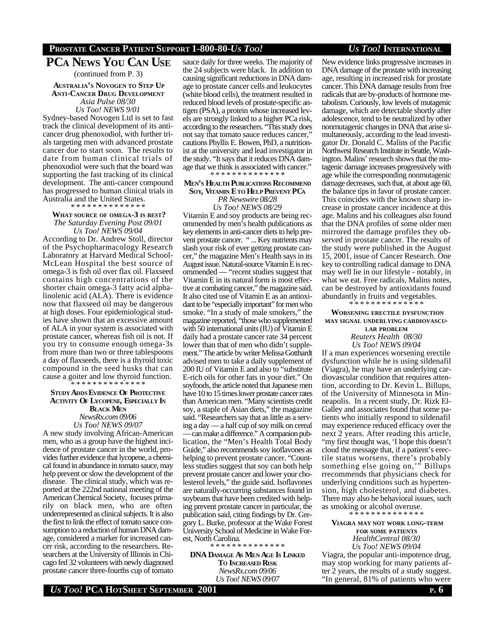## **PROSTATE CANCER PATIENT SUPPORT 1-800-80-***US TOO! US TOO!* **INTERNATIONAL**

# **PCA NEWS YOU CAN USE**

(continued from P. 3)

#### **AUSTRALIA'S NOVOGEN TO STEP U<sup>P</sup> ANTI-CANCER DRUG DEVELOPMENT** *Asia Pulse 08/30 Us Too! NEWS 9/01*

Sydney-based Novogen Ltd is set to fast track the clinical development of its anticancer drug phenoxodiol, with further trials targeting men with advanced prostate cancer due to start soon. The results to date from human clinical trials of phenoxodiol were such that the board was supporting the fast tracking of its clinical development. The anti-cancer compound has progressed to human clinical trials in Australia and the United States.

\* \* \* \* \* \* \* \* \* \* \* \* \* \*

#### **WHAT SOURCE OF OMEGA-3 IS BEST?** *The Saturday Evening Post 09/01 Us Too! NEWS 09/04*

According to Dr. Andrew Stoll, director of the Psychopharmacology Research Laboratory at Harvard Medical School-McLean Hospital the best source of omega-3 is fish oil over flax oil. Flaxseed contains high concentrations of the shorter chain omega-3 fatty acid alphalinolenic acid (ALA). There is evidence now that flaxseed oil may be dangerous at high doses. Four epidemiological studies have shown that an excessive amount of ALA in your system is associated with prostate cancer, whereas fish oil is not. If you try to consume enough omega-3s from more than two or three tablespoons a day of flaxseeds, there is a thyroid toxic compound in the seed husks that can cause a goiter and low thyroid function. \* \* \* \* \* \* \* \* \* \* \* \* \* \*

#### **STUDY ADDS EVIDENCE OF PROTECTIVE ACTIVITY OF LYCOPENE, ESPECIALLY I<sup>N</sup> BLACK MEN** *NewsRx.com 09/06 Us Too! NEWS 09/07*

A new study involving African-American men, who as a group have the highest incidence of prostate cancer in the world, provides further evidence that lycopene, a chemical found in abundance in tomato sauce, may help prevent or slow the development of the disease. The clinical study, which was reported at the 222nd national meeting of the American Chemical Society, focuses primarily on black men, who are often underrepresented as clinical subjects. It is also the first to link the effect of tomato sauce consumption to a reduction of human DNA damage, considered a marker for increased cancer risk, according to the researchers. Researchers at the University of Illinois in Chicago fed 32 volunteers with newly diagnosed prostate cancer three-fourths cup of tomato

sauce daily for three weeks. The majority of the 24 subjects were black. In addition to causing significant reductions in DNA damage to prostate cancer cells and leukocytes (white blood cells), the treatment resulted in reduced blood levels of prostate-specific antigen (PSA), a protein whose increased levels are strongly linked to a higher PCa risk, according to the researchers. "This study does not say that tomato sauce reduces cancer," cautions Phyllis E. Bowen, PhD, a nutritionist at the university and lead investigator in the study. "It says that it reduces DNA damage that we think is associated with cancer." \* \* \* \* \* \* \* \* \* \* \* \* \* \*

#### **MEN'S HEALTH PUBLICATIONS RECOMMEND SOY, VITAMIN E TO HELP PREVENT PC<sup>A</sup>**

*PR Newswire 08/28 Us Too! NEWS 08/29*

Vitamin E and soy products are being recommended by men's health publications as key elements in anti-cancer diets to help prevent prostate cancer. " ... Key nutrients may slash your risk of ever getting prostate cancer," the magazine Men's Health says in its August issue. Natural-source Vitamin E is recommended — "recent studies suggest that Vitamin E in its natural form is most effective at combating cancer," the magazine said. It also cited use of Vitamin E as an antioxidant to be "especially important" for men who smoke. "In a study of male smokers," the magazine reported, "those who supplemented with 50 international units (IU) of Vitamin E daily had a prostate cancer rate 34 percent lower than that of men who didn't supplement." The article by writer Melissa Gotthardt advised men to take a daily supplement of 200 IU of Vitamin E and also to "substitute E-rich oils for other fats in your diet." On soyfoods, the article noted that Japanese men have 10 to 15 times lower prostate cancer rates than American men. "Many scientists credit soy, a staple of Asian diets," the magazine said. "Researchers say that as little as a serving a day — a half cup of soy milk on cereal — can make a difference." A companion publication, the "Men's Health Total Body Guide," also recommends soy isoflavones as helping to prevent prostate cancer. "Countless studies suggest that soy can both help prevent prostate cancer and lower your cholesterol levels," the guide said. Isoflavones are naturally-occurring substances found in soybeans that have been credited with helping prevent prostate cancer in particular, the publication said, citing findings by Dr. Gregory L. Burke, professor at the Wake Forest University School of Medicine in Wake Forest, North Carolina.

\* \* \* \* \* \* \* \* \* \* \* \* \* \*

**DNA DAMAGE AS MEN AGE IS LINKED TO INCREASED RISK** *NewsRx.com 09/06 Us Too! NEWS 09/07*

New evidence links progressive increases in DNA damage of the prostate with increasing age, resulting in increased risk for prostate cancer. This DNA damage results from free radicals that are by-products of hormone metabolism. Curiously, low levels of mutagenic damage, which are detectable shortly after adolescence, tend to be neutralized by other nonmutagenic changes in DNA that arise simultaneously, according to the lead investigator Dr. Donald C. Malins of the Pacific Northwest Research Institute in Seattle, Washington. Malins' research shows that the mutagenic damage increases progressively with age while the corresponding nonmutagenic damage decreases, such that, at about age 60, the balance tips in favor of prostate cancer. This coincides with the known sharp increase in prostate cancer incidence at this age. Malins and his colleagues also found that the DNA profiles of some older men mirrored the damage profiles they observed in prostate cancer. The results of the study were published in the August 15, 2001, issue of Cancer Research. One key to controlling radical damage to DNA may well lie in our lifestyle - notably, in what we eat. Free radicals, Malins notes, can be destroyed by antioxidants found abundantly in fruits and vegetables.

\* \* \* \* \* \* \* \* \* \* \* \* \* \*

#### **WORSENING ERECTILE DYSFUNCTION MAY SIGNAL UNDERLYING CARDIOVASCU-**

**LAR PROBLEM** *Reuters Health 08/30 Us Too! NEWS 09/04*

If a man experiences worsening erectile dysfunction while he is using sildenafil (Viagra), he may have an underlying cardiovascular condition that requires attention, according to Dr. Kevin L. Billups, of the University of Minnesota in Minneapolis. In a recent study, Dr. Rizk El-Galley and associates found that some patients who initially respond to sildenafil may experience reduced efficacy over the next 2 years. After reading this article, "my first thought was, 'I hope this doesn't cloud the message that, if a patient's erectile status worsens, there's probably something else going on," Billups rrecommends that physicians check for underlying conditions such as hypertension, high cholesterol, and diabetes. There may also be behavioral issues, such as smoking or alcohol overuse.

 **VIAGRA MAY NOT WORK LONG-TERM FOR SOME PATIENTS** *HealthCentral 08/30 Us Too! NEWS 09/04*

\* \* \* \* \* \* \* \* \* \* \* \* \*

Viagra, the popular anti-impotence drug, may stop working for many patients after 2 years, the results of a study suggest. "In general, 81% of patients who were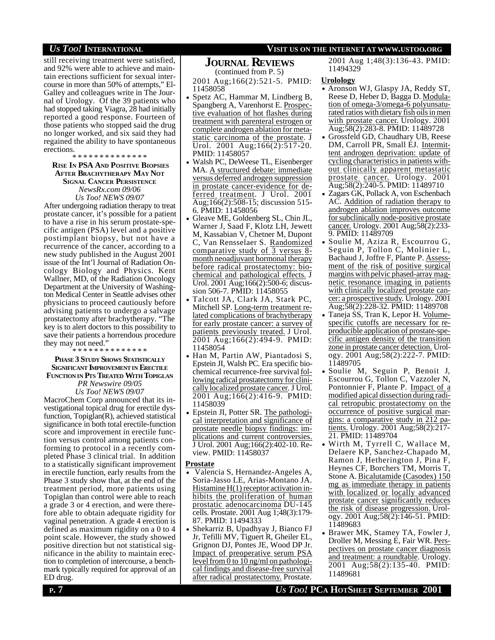## *US TOO!* **INTERNATIONAL VISIT US ON THE INTERNET AT WWW.USTOO.ORG**

still receiving treatment were satisfied, and 92% were able to achieve and maintain erections sufficient for sexual intercourse in more than 50% of attempts," El-Galley and colleagues write in The Journal of Urology. Of the 39 patients who had stopped taking Viagra, 28 had initially reported a good response. Fourteen of those patients who stopped said the drug no longer worked, and six said they had regained the ability to have spontaneous erections.

\* \* \* \* \* \* \* \* \* \* \* \* \* \*

#### **RISE IN PSA AND POSITIVE BIOPSIES AFTER BRACHYTHERAPY MAY NOT SIGNAL CANCER PERSISTENCE** *NewsRx.com 09/06 Us Too! NEWS 09/07*

After undergoing radiation therapy to treat prostate cancer, it's possible for a patient to have a rise in his serum prostate-specific antigen (PSA) level and a positive postimplant biopsy, but not have a recurrence of the cancer, according to a new study published in the August 2001 issue of the Int'l Journal of Radiation Oncology Biology and Physics. Kent Wallner, MD, of the Radiation Oncology Department at the University of Washington Medical Center in Seattle advises other physicians to proceed cautiously before advising patients to undergo a salvage prostatectomy after brachytherapy. "The key is to alert doctors to this possibility to save their patients a horrendous procedure they may not need."

\* \* \* \* \* \* \* \* \* \* \* \* \* \*

#### **PHASE 3 STUDY SHOWS STATISTICALLY SIGNIFICANT IMPROVEMENTIN ERECTILE FUNCTION IN PTS TREATED WITH TOPIGLAN**

*PR Newswire 09/05 Us Too! NEWS 09/07*

MacroChem Corp announced that its investigational topical drug for erectile dysfunction, Topiglan(R), achieved statistical significance in both total erectile-function score and improvement in erectile function versus control among patients conforming to protocol in a recently completed Phase 3 clinical trial. In addition to a statistically significant improvement in erectile function, early results from the Phase 3 study show that, at the end of the treatment period, more patients using Topiglan than control were able to reach a grade 3 or 4 erection, and were therefore able to obtain adequate rigidity for vaginal penetration. A grade 4 erection is defined as maximum rigidity on a 0 to 4 point scale. However, the study showed positive direction but not statistical significance in the ability to maintain erection to completion of intercourse, a benchmark typically required for approval of an ED drug.

## **JOURNAL REVIEWS**

(continued from P. 5)

2001 Aug;166(2):521-5. PMID: 11458058

- Spetz AC, Hammar M, Lindberg B, Spangberg A, Varenhorst E. Prospective evaluation of hot flashes during treatment with parenteral estrogen or complete androgen ablation for metastatic carcinoma of the prostate. J Urol. 2001 Aug;166(2):517-20. PMID: 11458057
- Walsh PC, DeWeese TL, Eisenberger MA. A structured debate: immediate versus deferred androgen suppression in prostate cancer-evidence for deferred treatment. J Urol. 2001 Aug;166(2):508-15; discussion 515- 6. PMID: 11458056
- Gleave ME, Goldenberg SL, Chin JL, Warner J, Saad F, Klotz LH, Jewett M, Kassabian V, Chetner M, Dupont C, Van Rensselaer S. Randomized comparative study of 3 versus 8 month neoadjuvant hormonal therapy before radical prostatectomy: biochemical and pathological effects. J Urol. 2001 Aug;166(2):500-6; discussion 506-7. PMID: 11458055
- Talcott JA, Clark JA, Stark PC, Mitchell SP. Long-term treatment related complications of brachytherapy for early prostate cancer: a survey of patients previously treated. J Urol. 2001 Aug;166(2):494-9. PMID: 11458054
- Han M, Partin AW, Piantadosi S, Epstein JI, Walsh PC. Era specific biochemical recurrence-free survival following radical prostatectomy for clinically localized prostate cancer. J Urol. 2001 Aug;166(2):416-9. PMID: 11458039
- Epstein JI, Potter SR. The pathological interpretation and significance of prostate needle biopsy findings: implications and current controversies. J Urol. 2001 Aug;166(2):402-10. Review. PMID: 11458037

#### **Prostate**

- Valencia S, Hernandez-Angeles A, Soria-Jasso LE, Arias-Montano JA. Histamine H(1) receptor activation inhibits the proliferation of human prostatic adenocarcinoma DU-145 cells. Prostate. 2001 Aug 1;48(3):179- 87. PMID: 11494333
- Shekarriz B, Upadhyay J, Bianco FJ Jr, Tefilli MV, Tiguert R, Gheiler EL, Grignon DJ, Pontes JE, Wood DP Jr. Impact of preoperative serum PSA level from  $\overline{0}$  to  $10$  ng/ml on pathological findings and disease-free survival after radical prostatectomy. Prostate.

2001 Aug 1;48(3):136-43. PMID: 11494329

#### **Urolology**

- Aronson WJ, Glaspy JA, Reddy ST, Reese D, Heber D, Bagga D. Modulation of omega-3/omega-6 polyunsaturated ratios with dietary fish oils in men with prostate cancer. Urology. 2001 Aug;58(2):283-8. PMID: 11489728
- Grossfeld GD, Chaudhary UB, Reese DM, Carroll PR, Small EJ. Intermittent androgen deprivation: update of cycling characteristics in patients without clinically apparent metastatic prostate cancer. Urology. 2001 Aug;58(2):240-5. PMID: 11489710
- Zagars GK, Pollack A, von Eschenbach AC. Addition of radiation therapy to androgen ablation improves outcome for subclinically node-positive prostate cancer. Urology. 2001 Aug;58(2):233- 9. PMID: 11489709
- Soulie M, Aziza R, Escourrou G, Seguin P, Tollon C, Molinier L, Bachaud J, Joffre F, Plante P. Assessment of the risk of positive surgical margins with pelvic phased-array magnetic resonance imaging in patients with clinically localized prostate cancer: a prospective study. Urology. 2001 Aug;58(2):228-32. PMID: 11489708
- Taneja SS, Tran K, Lepor H. Volumespecific cutoffs are necessary for reproducible application of prostate-specific antigen density of the transition zone in prostate cancer detection. Urology. 2001 Aug;58(2):222-7. PMID: 11489705
- Soulie M, Seguin P, Benoit J, Escourrou G, Tollon C, Vazzoler N, Pontonnier F, Plante P. Impact of a modified apical dissection during radical retropubic prostatectomy on the occurrence of positive surgical margins: a comparative study in 212 patients. Urology. 2001 Aug;58(2):217- 21. PMID: 11489704
- Wirth M, Tyrrell C, Wallace M, Delaere KP, Sanchez-Chapado M, Ramon J, Hetherington J, Pina F, Heynes CF, Borchers TM, Morris T, Stone A. Bicalutamide (Casodex) 150 mg as immediate therapy in patients with localized or locally advanced prostate cancer significantly reduces the risk of disease progression. Urology. 2001 Aug;58(2):146-51. PMID: 11489683
- Brawer MK, Stamey TA, Fowler J, Droller M, Messing E, Fair WR. Perspectives on prostate cancer diagnosis and treatment: a roundtable. Urology. 2001 Aug;58(2):135-40. PMID: 11489681